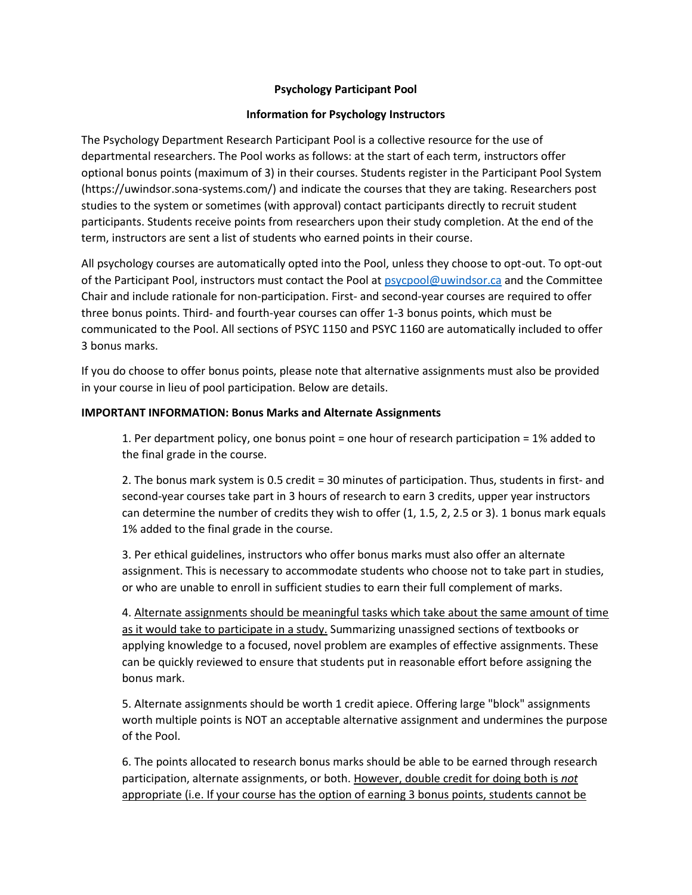## **Psychology Participant Pool**

### **Information for Psychology Instructors**

The Psychology Department Research Participant Pool is a collective resource for the use of departmental researchers. The Pool works as follows: at the start of each term, instructors offer optional bonus points (maximum of 3) in their courses. Students register in the Participant Pool System (https://uwindsor.sona-systems.com/) and indicate the courses that they are taking. Researchers post studies to the system or sometimes (with approval) contact participants directly to recruit student participants. Students receive points from researchers upon their study completion. At the end of the term, instructors are sent a list of students who earned points in their course.

All psychology courses are automatically opted into the Pool, unless they choose to opt-out. To opt-out of the Participant Pool, instructors must contact the Pool at [psycpool@uwindsor.ca](mailto:psycpool@uwindsor.ca) and the Committee Chair and include rationale for non-participation. First- and second-year courses are required to offer three bonus points. Third- and fourth-year courses can offer 1-3 bonus points, which must be communicated to the Pool. All sections of PSYC 1150 and PSYC 1160 are automatically included to offer 3 bonus marks.

If you do choose to offer bonus points, please note that alternative assignments must also be provided in your course in lieu of pool participation. Below are details.

#### **IMPORTANT INFORMATION: Bonus Marks and Alternate Assignments**

1. Per department policy, one bonus point = one hour of research participation = 1% added to the final grade in the course.

2. The bonus mark system is 0.5 credit = 30 minutes of participation. Thus, students in first- and second-year courses take part in 3 hours of research to earn 3 credits, upper year instructors can determine the number of credits they wish to offer (1, 1.5, 2, 2.5 or 3). 1 bonus mark equals 1% added to the final grade in the course.

3. Per ethical guidelines, instructors who offer bonus marks must also offer an alternate assignment. This is necessary to accommodate students who choose not to take part in studies, or who are unable to enroll in sufficient studies to earn their full complement of marks.

4. Alternate assignments should be meaningful tasks which take about the same amount of time as it would take to participate in a study. Summarizing unassigned sections of textbooks or applying knowledge to a focused, novel problem are examples of effective assignments. These can be quickly reviewed to ensure that students put in reasonable effort before assigning the bonus mark.

5. Alternate assignments should be worth 1 credit apiece. Offering large "block" assignments worth multiple points is NOT an acceptable alternative assignment and undermines the purpose of the Pool.

6. The points allocated to research bonus marks should be able to be earned through research participation, alternate assignments, or both. However, double credit for doing both is *not* appropriate (i.e. If your course has the option of earning 3 bonus points, students cannot be